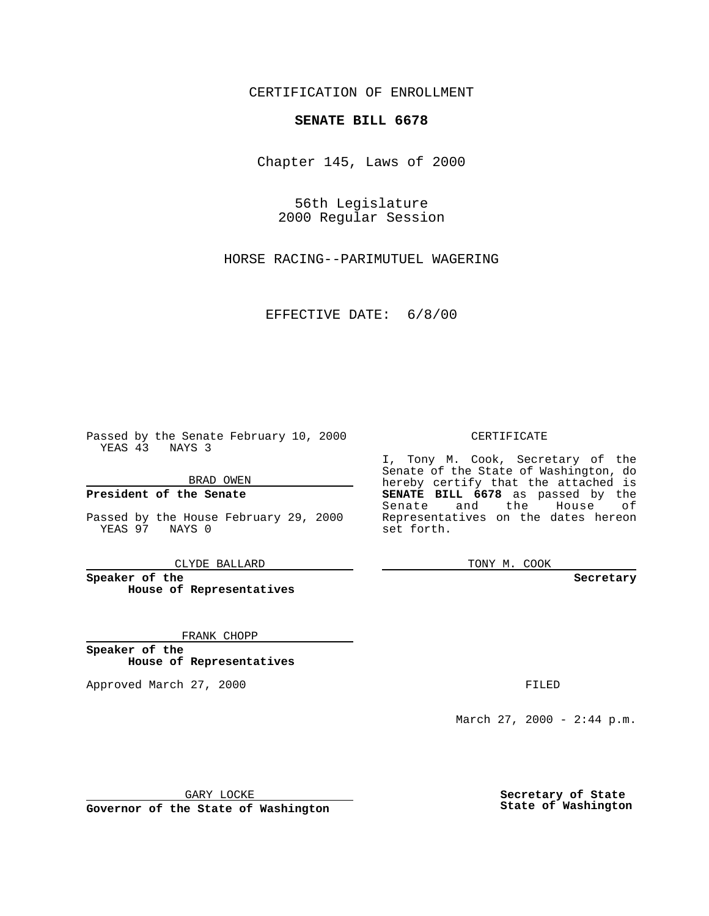CERTIFICATION OF ENROLLMENT

# **SENATE BILL 6678**

Chapter 145, Laws of 2000

56th Legislature 2000 Regular Session

HORSE RACING--PARIMUTUEL WAGERING

### EFFECTIVE DATE: 6/8/00

Passed by the Senate February 10, 2000 YEAS 43 NAYS 3

BRAD OWEN

**President of the Senate**

Passed by the House February 29, 2000 YEAS 97 NAYS 0

CLYDE BALLARD

**Speaker of the House of Representatives**

FRANK CHOPP

**Speaker of the House of Representatives**

Approved March 27, 2000 FILED

#### CERTIFICATE

I, Tony M. Cook, Secretary of the Senate of the State of Washington, do hereby certify that the attached is **SENATE BILL 6678** as passed by the Senate and the House of Representatives on the dates hereon set forth.

TONY M. COOK

**Secretary**

March 27, 2000 - 2:44 p.m.

GARY LOCKE

**Governor of the State of Washington**

**Secretary of State State of Washington**